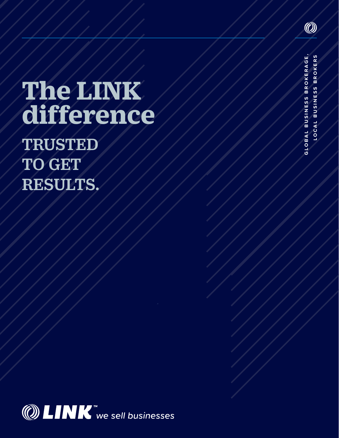### **The LINK difference**

TRUSTED TO GET RESULTS.



GLOBAL BUSINESS BROKERAGE. GLOBAL BUSINESS BROKERAGE, LOCAL BUSINESS BROKERS **LOCAL BUSINESS BROKERS**

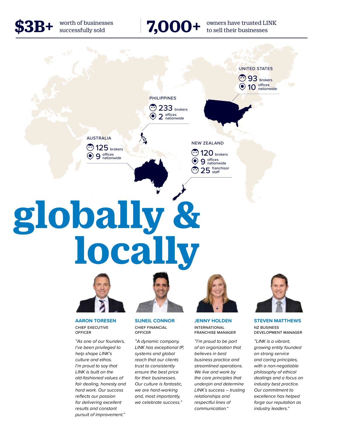\$3B+ worth of businesses

### worth of businesses<br>successfully sold **7,000+** owners have trusted LINK<br>to sell their businesses





**AARON TORESEN** CHIEF EXECUTIVE **OFFICER** 

*"As one of our founders, I've been privileged to help shape LINK's culture and ethos. I'm proud to say that LINK is built on the old-fashioned values of fair dealing, honesty and hard work. Our success reflects our passion for delivering excellent results and constant pursuit of improvement."*

**SUNEIL CONNOR** CHIEF FINANCIAL **OFFICER** 

*"A dynamic company, LINK has exceptional IP, systems and global reach that our clients trust to consistently ensure the best price for their businesses. Our culture is fantastic, we are hard-working and, most importantly, we celebrate success."*



**JENNY HOLDEN** INTERNATIONAL FRANCHISE MANAGER

*"I'm proud to be part of an organization that believes in best business practice and streamlined operations. We live and work by the core principles that underpin and determine LINK's success – trusting relationships and respectful lines of communication."*



**STEVEN MATTHEWS** NZ BUSINESS DEVELOPMENT MANAGER

*"LINK is a vibrant, growing entity founded on strong service and caring principles, with a non-negotiable philosophy of ethical dealings and a focus on industry best practice. Our commitment to excellence has helped forge our reputation as industry leaders."*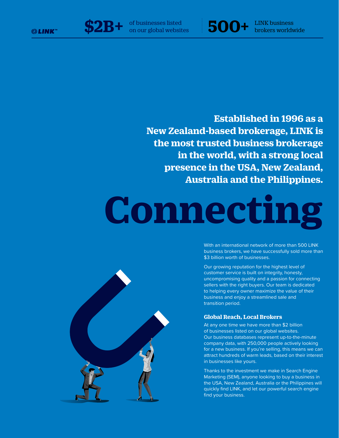

brokers worldwide

**Established in 1996 as a New Zealand-based brokerage, LINK is the most trusted business brokerage in the world, with a strong local presence in the USA, New Zealand, Australia and the Philippines.** 

# **Connecting**



With an international network of more than 500 LINK business brokers, we have successfully sold more than \$3 billion worth of businesses.

Our growing reputation for the highest level of customer service is built on integrity, honesty, uncompromising quality and a passion for connecting sellers with the right buyers. Our team is dedicated to helping every owner maximize the value of their business and enjoy a streamlined sale and transition period.

#### **Global Reach, Local Brokers**

At any one time we have more than \$2 billion of businesses listed on our global websites. Our business databases represent up-to-the-minute company data, with 250,000 people actively looking for a new business. If you're selling, this means we can attract hundreds of warm leads, based on their interest in businesses like yours.

Thanks to the investment we make in Search Engine Marketing (SEM), anyone looking to buy a business in the USA, New Zealand, Australia or the Philippines will quickly find LINK, and let our powerful search engine find your business.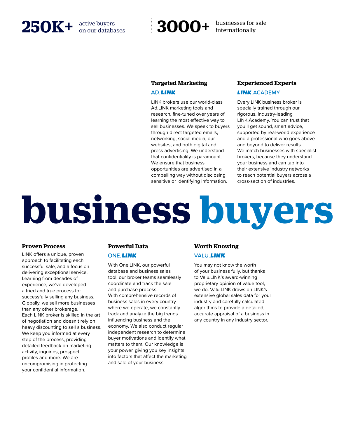

active buyers<br>
on our databases<br> **3000+** hternationally

#### **Targeted Marketing**

#### **AD LINK**

LINK brokers use our world-class Ad.LINK marketing tools and research, fine-tuned over years of learning the most effective way to sell businesses. We speak to buyers through direct targeted emails, networking, social media, our websites, and both digital and press advertising. We understand that confidentiality is paramount. We ensure that business opportunities are advertised in a compelling way without disclosing sensitive or identifying information.

#### **Experienced Experts**

#### **LINK.ACADEMY**

Every LINK business broker is specially trained through our rigorous, industry-leading LINK.Academy. You can trust that you'll get sound, smart advice, supported by real-world experience and a professional who goes above and beyond to deliver results. We match businesses with specialist brokers, because they understand your business and can tap into their extensive industry networks to reach potential buyers across a cross-section of industries.

## **business buyers**

#### **Proven Process**

LINK offers a unique, proven approach to facilitating each successful sale, and a focus on delivering exceptional service. Learning from decades of experience, we've developed a tried and true process for successfully selling any business. Globally, we sell more businesses than any other brokerage. Each LINK broker is skilled in the art of negotiation and doesn't rely on heavy discounting to sell a business. We keep you informed at every step of the process, providing detailed feedback on marketing activity, inquiries, prospect profiles and more. We are uncompromising in protecting your confidential information.

#### **Powerful Data**

#### **ONE.LINK**

With One.LINK, our powerful database and business sales tool, our broker teams seamlessly coordinate and track the sale and purchase process. With comprehensive records of business sales in every country where we operate, we constantly track and analyze the big trends influencing business and the economy. We also conduct regular independent research to determine buyer motivations and identify what matters to them. Our knowledge is your power, giving you key insights into factors that affect the marketing and sale of your business.

#### **Worth Knowing**

#### **VALU.LINK**

You may not know the worth of your business fully, but thanks to Valu.LINK's award-winning proprietary opinion of value tool, we do. Valu.LINK draws on LINK's extensive global sales data for your industry and carefully calculated algorithms to provide a detailed, accurate appraisal of a business in any country in any industry sector.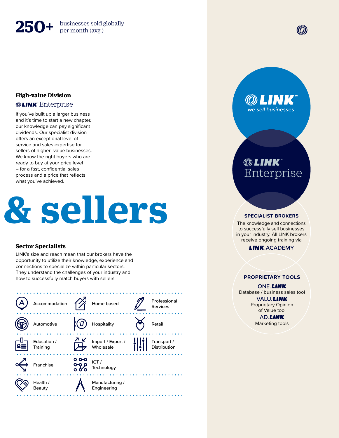#### **High-value Division**

#### **@LINK** Enterprise

If you've built up a larger business and it's time to start a new chapter, our knowledge can pay significant dividends. Our specialist division offers an exceptional level of service and sales expertise for sellers of higher- value businesses. We know the right buyers who are ready to buy at your price level – for a fast, confidential sales process and a price that reflects what you've achieved.

### **business buyers & sellers**

#### **Sector Specialists**

LINK's size and reach mean that our brokers have the opportunity to utilize their knowledge, experience and connections to specialize within particular sectors. They understand the challenges of your industry and how to successfully match buyers with sellers.



we sell businesses

#### **© LINK** Enterprise

#### **SPECIALIST BROKERS**

The knowledge and connections to successfully sell businesses in your industry. All LINK brokers receive ongoing training via

**LINK.ACADEMY** 

#### **PROPRIETARY TOOLS**

**ONE.LINK** Database / business sales tool **VALU.LINK** Proprietary Opinion

> of Value tool **AD.LINK** Marketing tools